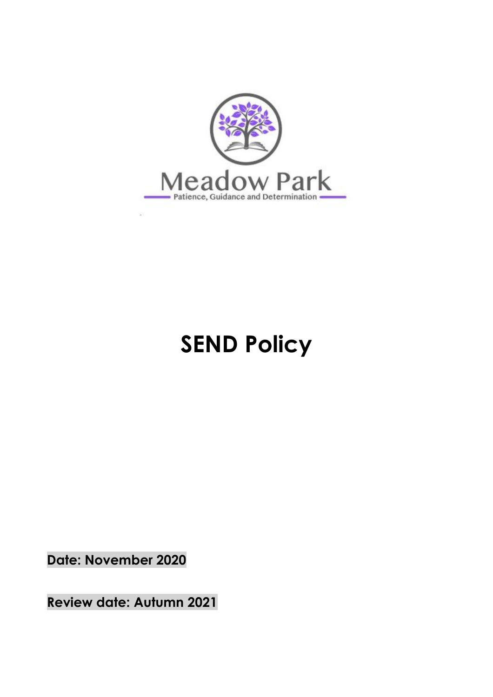

# **SEND Policy**

**Date: November 2020**

**Review date: Autumn 2021**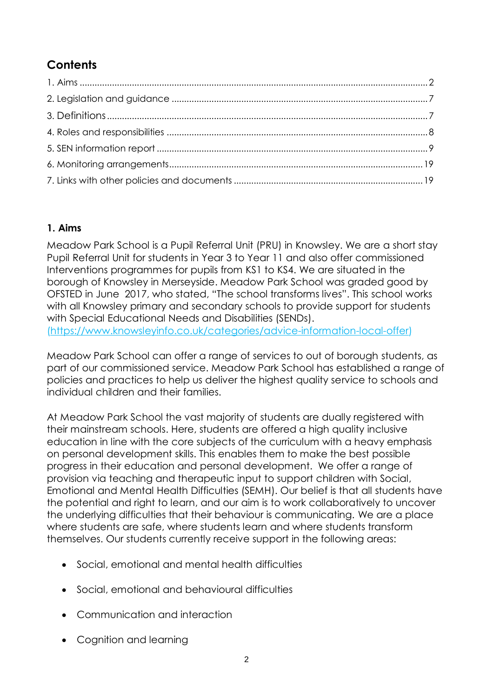## **Contents**

## **1. Aims**

Meadow Park School is a Pupil Referral Unit (PRU) in Knowsley. We are a short stay Pupil Referral Unit for students in Year 3 to Year 11 and also offer commissioned Interventions programmes for pupils from KS1 to KS4. We are situated in the borough of Knowsley in Merseyside. Meadow Park School was graded good by OFSTED in June 2017, who stated, "The school transforms lives". This school works with all Knowsley primary and secondary schools to provide support for students with Special Educational Needs and Disabilities (SENDs). [\(https://www.knowsleyinfo.co.uk/categories/advice-information-local-offer\)](https://www.knowsleyinfo.co.uk/categories/advice-information-local-offer)

Meadow Park School can offer a range of services to out of borough students, as part of our commissioned service. Meadow Park School has established a range of policies and practices to help us deliver the highest quality service to schools and individual children and their families.

At Meadow Park School the vast majority of students are dually registered with their mainstream schools. Here, students are offered a high quality inclusive education in line with the core subjects of the curriculum with a heavy emphasis on personal development skills. This enables them to make the best possible progress in their education and personal development. We offer a range of provision via teaching and therapeutic input to support children with Social, Emotional and Mental Health Difficulties (SEMH). Our belief is that all students have the potential and right to learn, and our aim is to work collaboratively to uncover the underlying difficulties that their behaviour is communicating. We are a place where students are safe, where students learn and where students transform themselves. Our students currently receive support in the following areas:

- Social, emotional and mental health difficulties
- Social, emotional and behavioural difficulties
- Communication and interaction
- Cognition and learning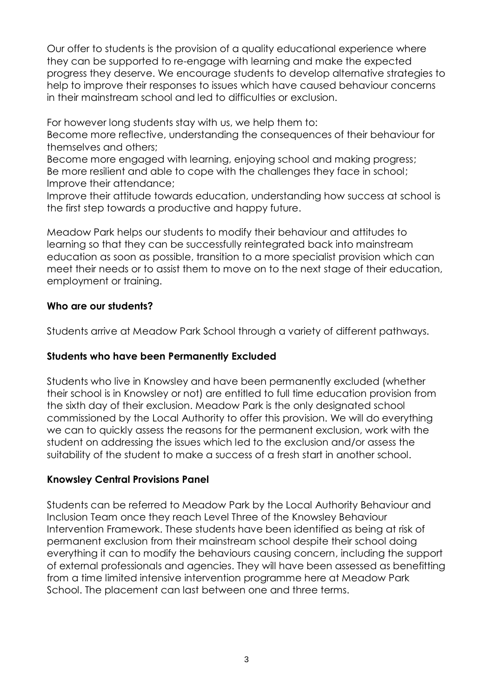Our offer to students is the provision of a quality educational experience where they can be supported to re-engage with learning and make the expected progress they deserve. We encourage students to develop alternative strategies to help to improve their responses to issues which have caused behaviour concerns in their mainstream school and led to difficulties or exclusion.

For however long students stay with us, we help them to:

Become more reflective, understanding the consequences of their behaviour for themselves and others;

Become more engaged with learning, enjoying school and making progress; Be more resilient and able to cope with the challenges they face in school; Improve their attendance;

Improve their attitude towards education, understanding how success at school is the first step towards a productive and happy future.

Meadow Park helps our students to modify their behaviour and attitudes to learning so that they can be successfully reintegrated back into mainstream education as soon as possible, transition to a more specialist provision which can meet their needs or to assist them to move on to the next stage of their education, employment or training.

#### **Who are our students?**

Students arrive at Meadow Park School through a variety of different pathways.

#### **Students who have been Permanently Excluded**

Students who live in Knowsley and have been permanently excluded (whether their school is in Knowsley or not) are entitled to full time education provision from the sixth day of their exclusion. Meadow Park is the only designated school commissioned by the Local Authority to offer this provision. We will do everything we can to quickly assess the reasons for the permanent exclusion, work with the student on addressing the issues which led to the exclusion and/or assess the suitability of the student to make a success of a fresh start in another school.

#### **Knowsley Central Provisions Panel**

Students can be referred to Meadow Park by the Local Authority Behaviour and Inclusion Team once they reach Level Three of the Knowsley Behaviour Intervention Framework. These students have been identified as being at risk of permanent exclusion from their mainstream school despite their school doing everything it can to modify the behaviours causing concern, including the support of external professionals and agencies. They will have been assessed as benefitting from a time limited intensive intervention programme here at Meadow Park School. The placement can last between one and three terms.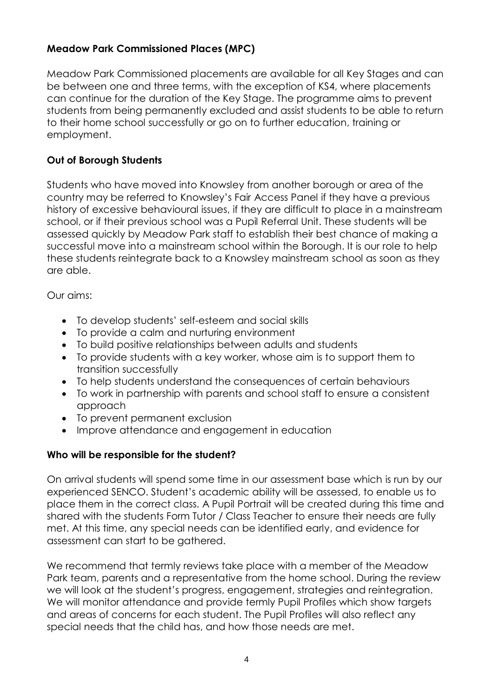#### **Meadow Park Commissioned Places (MPC)**

Meadow Park Commissioned placements are available for all Key Stages and can be between one and three terms, with the exception of KS4, where placements can continue for the duration of the Key Stage. The programme aims to prevent students from being permanently excluded and assist students to be able to return to their home school successfully or go on to further education, training or employment.

#### **Out of Borough Students**

Students who have moved into Knowsley from another borough or area of the country may be referred to Knowsley's Fair Access Panel if they have a previous history of excessive behavioural issues, if they are difficult to place in a mainstream school, or if their previous school was a Pupil Referral Unit. These students will be assessed quickly by Meadow Park staff to establish their best chance of making a successful move into a mainstream school within the Borough. It is our role to help these students reintegrate back to a Knowsley mainstream school as soon as they are able.

Our aims:

- To develop students' self-esteem and social skills
- To provide a calm and nurturing environment
- To build positive relationships between adults and students
- To provide students with a key worker, whose aim is to support them to transition successfully
- To help students understand the consequences of certain behaviours
- To work in partnership with parents and school staff to ensure a consistent approach
- To prevent permanent exclusion
- Improve attendance and engagement in education

#### **Who will be responsible for the student?**

On arrival students will spend some time in our assessment base which is run by our experienced SENCO. Student's academic ability will be assessed, to enable us to place them in the correct class. A Pupil Portrait will be created during this time and shared with the students Form Tutor / Class Teacher to ensure their needs are fully met. At this time, any special needs can be identified early, and evidence for assessment can start to be gathered.

We recommend that termly reviews take place with a member of the Meadow Park team, parents and a representative from the home school. During the review we will look at the student's progress, engagement, strategies and reintegration. We will monitor attendance and provide termly Pupil Profiles which show targets and areas of concerns for each student. The Pupil Profiles will also reflect any special needs that the child has, and how those needs are met.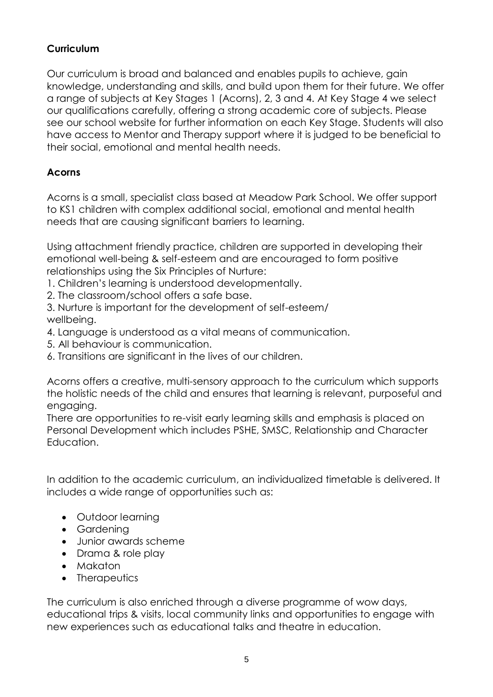## **Curriculum**

Our curriculum is broad and balanced and enables pupils to achieve, gain knowledge, understanding and skills, and build upon them for their future. We offer a range of subjects at Key Stages 1 (Acorns), 2, 3 and 4. At Key Stage 4 we select our qualifications carefully, offering a strong academic core of subjects. Please see our school website for further information on each Key Stage. Students will also have access to Mentor and Therapy support where it is judged to be beneficial to their social, emotional and mental health needs.

## **Acorns**

Acorns is a small, specialist class based at Meadow Park School. We offer support to KS1 children with complex additional social, emotional and mental health needs that are causing significant barriers to learning.

Using attachment friendly practice, children are supported in developing their emotional well-being & self-esteem and are encouraged to form positive relationships using the Six Principles of Nurture:

1. Children's learning is understood developmentally.

2. The classroom/school offers a safe base.

3. Nurture is important for the development of self-esteem/ wellbeing.

- 4. Language is understood as a vital means of communication.
- 5. All behaviour is communication.
- 6. Transitions are significant in the lives of our children.

Acorns offers a creative, multi-sensory approach to the curriculum which supports the holistic needs of the child and ensures that learning is relevant, purposeful and engaging.

There are opportunities to re-visit early learning skills and emphasis is placed on Personal Development which includes PSHE, SMSC, Relationship and Character Education.

In addition to the academic curriculum, an individualized timetable is delivered. It includes a wide range of opportunities such as:

- Outdoor learning
- Gardening
- Junior awards scheme
- Drama & role play
- Makaton
- Therapeutics

The curriculum is also enriched through a diverse programme of wow days, educational trips & visits, local community links and opportunities to engage with new experiences such as educational talks and theatre in education.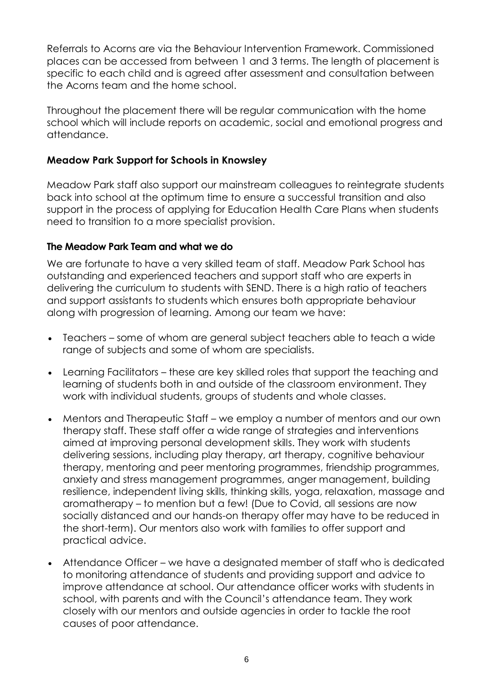Referrals to Acorns are via the Behaviour Intervention Framework. Commissioned places can be accessed from between 1 and 3 terms. The length of placement is specific to each child and is agreed after assessment and consultation between the Acorns team and the home school.

Throughout the placement there will be regular communication with the home school which will include reports on academic, social and emotional progress and attendance.

#### **Meadow Park Support for Schools in Knowsley**

Meadow Park staff also support our mainstream colleagues to reintegrate students back into school at the optimum time to ensure a successful transition and also support in the process of applying for Education Health Care Plans when students need to transition to a more specialist provision.

#### **The Meadow Park Team and what we do**

We are fortunate to have a very skilled team of staff. Meadow Park School has outstanding and experienced teachers and support staff who are experts in delivering the curriculum to students with SEND. There is a high ratio of teachers and support assistants to students which ensures both appropriate behaviour along with progression of learning. Among our team we have:

- Teachers some of whom are general subject teachers able to teach a wide range of subjects and some of whom are specialists.
- Learning Facilitators these are key skilled roles that support the teaching and learning of students both in and outside of the classroom environment. They work with individual students, groups of students and whole classes.
- Mentors and Therapeutic Staff we employ a number of mentors and our own therapy staff. These staff offer a wide range of strategies and interventions aimed at improving personal development skills. They work with students delivering sessions, including play therapy, art therapy, cognitive behaviour therapy, mentoring and peer mentoring programmes, friendship programmes, anxiety and stress management programmes, anger management, building resilience, independent living skills, thinking skills, yoga, relaxation, massage and aromatherapy – to mention but a few! (Due to Covid, all sessions are now socially distanced and our hands-on therapy offer may have to be reduced in the short-term). Our mentors also work with families to offer support and practical advice.
- Attendance Officer we have a designated member of staff who is dedicated to monitoring attendance of students and providing support and advice to improve attendance at school. Our attendance officer works with students in school, with parents and with the Council's attendance team. They work closely with our mentors and outside agencies in order to tackle the root causes of poor attendance.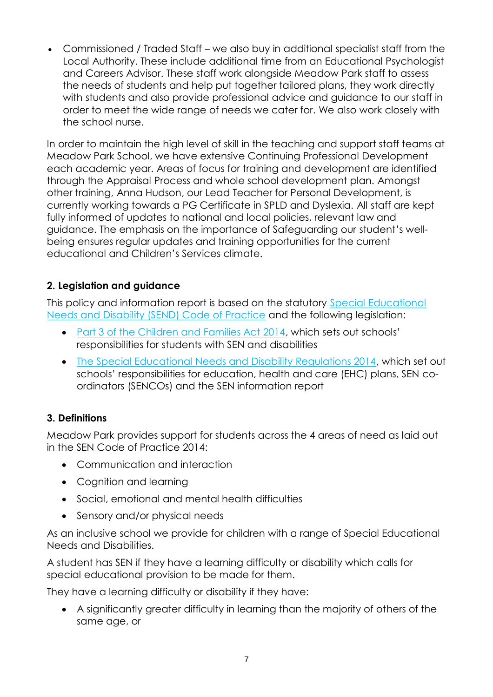Commissioned / Traded Staff – we also buy in additional specialist staff from the Local Authority. These include additional time from an Educational Psychologist and Careers Advisor. These staff work alongside Meadow Park staff to assess the needs of students and help put together tailored plans, they work directly with students and also provide professional advice and guidance to our staff in order to meet the wide range of needs we cater for. We also work closely with the school nurse.

In order to maintain the high level of skill in the teaching and support staff teams at Meadow Park School, we have extensive Continuing Professional Development each academic year. Areas of focus for training and development are identified through the Appraisal Process and whole school development plan. Amongst other training, Anna Hudson, our Lead Teacher for Personal Development, is currently working towards a PG Certificate in SPLD and Dyslexia. All staff are kept fully informed of updates to national and local policies, relevant law and guidance. The emphasis on the importance of Safeguarding our student's wellbeing ensures regular updates and training opportunities for the current educational and Children's Services climate.

## **2. Legislation and guidance**

This policy and information report is based on the statutory [Special Educational](https://www.gov.uk/government/uploads/system/uploads/attachment_data/file/398815/SEND_Code_of_Practice_January_2015.pdf)  [Needs and Disability \(SEND\) Code of Practice](https://www.gov.uk/government/uploads/system/uploads/attachment_data/file/398815/SEND_Code_of_Practice_January_2015.pdf) and the following legislation:

- [Part 3 of the Children and Families Act 2014](http://www.legislation.gov.uk/ukpga/2014/6/part/3), which sets out schools' responsibilities for students with SEN and disabilities
- [The Special Educational Needs and Disability Regulations 2014,](http://www.legislation.gov.uk/uksi/2014/1530/contents/made) which set out schools' responsibilities for education, health and care (EHC) plans, SEN coordinators (SENCOs) and the SEN information report

## **3. Definitions**

Meadow Park provides support for students across the 4 areas of need as laid out in the SEN Code of Practice 2014:

- Communication and interaction
- Cognition and learning
- Social, emotional and mental health difficulties
- Sensory and/or physical needs

As an inclusive school we provide for children with a range of Special Educational Needs and Disabilities.

A student has SEN if they have a learning difficulty or disability which calls for special educational provision to be made for them.

They have a learning difficulty or disability if they have:

 A significantly greater difficulty in learning than the majority of others of the same age, or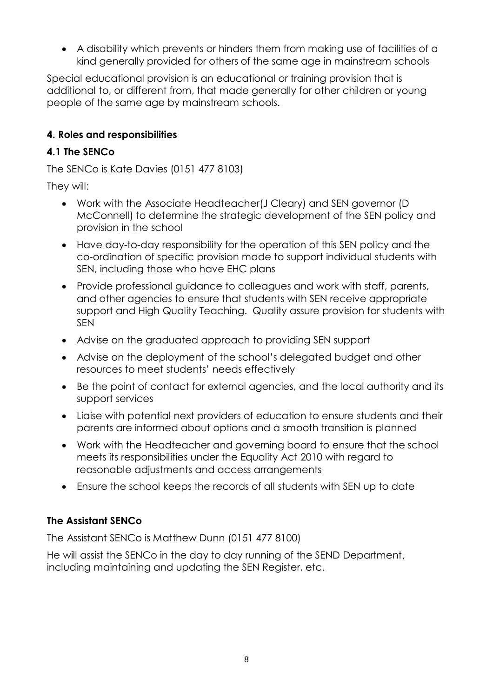A disability which prevents or hinders them from making use of facilities of a kind generally provided for others of the same age in mainstream schools

Special educational provision is an educational or training provision that is additional to, or different from, that made generally for other children or young people of the same age by mainstream schools.

#### **4. Roles and responsibilities**

## **4.1 The SENCo**

The SENCo is Kate Davies (0151 477 8103)

They will:

- Work with the Associate Headteacher(J Cleary) and SEN governor (D McConnell) to determine the strategic development of the SEN policy and provision in the school
- Have day-to-day responsibility for the operation of this SEN policy and the co-ordination of specific provision made to support individual students with SEN, including those who have EHC plans
- Provide professional guidance to colleagues and work with staff, parents, and other agencies to ensure that students with SEN receive appropriate support and High Quality Teaching. Quality assure provision for students with SEN
- Advise on the graduated approach to providing SEN support
- Advise on the deployment of the school's delegated budget and other resources to meet students' needs effectively
- Be the point of contact for external agencies, and the local authority and its support services
- Liaise with potential next providers of education to ensure students and their parents are informed about options and a smooth transition is planned
- Work with the Headteacher and governing board to ensure that the school meets its responsibilities under the Equality Act 2010 with regard to reasonable adjustments and access arrangements
- Ensure the school keeps the records of all students with SEN up to date

## **The Assistant SENCo**

The Assistant SENCo is Matthew Dunn (0151 477 8100)

He will assist the SENCo in the day to day running of the SEND Department, including maintaining and updating the SEN Register, etc.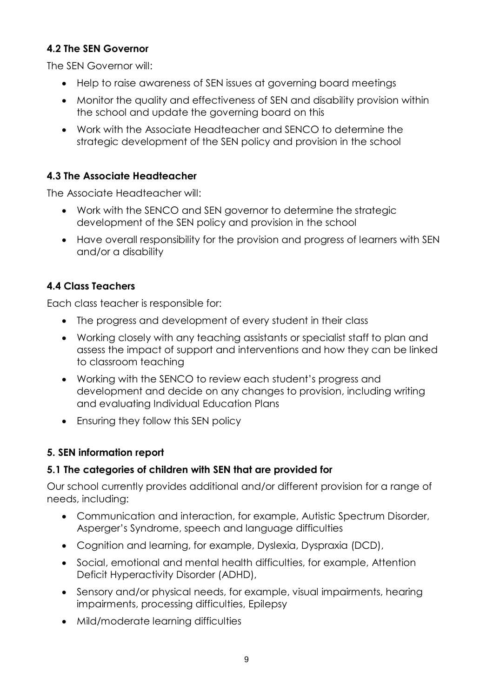## **4.2 The SEN Governor**

The SEN Governor will:

- Help to raise awareness of SEN issues at governing board meetings
- Monitor the quality and effectiveness of SEN and disability provision within the school and update the governing board on this
- Work with the Associate Headteacher and SENCO to determine the strategic development of the SEN policy and provision in the school

## **4.3 The Associate Headteacher**

The Associate Headteacher will:

- Work with the SENCO and SEN governor to determine the strategic development of the SEN policy and provision in the school
- Have overall responsibility for the provision and progress of learners with SEN and/or a disability

## **4.4 Class Teachers**

Each class teacher is responsible for:

- The progress and development of every student in their class
- Working closely with any teaching assistants or specialist staff to plan and assess the impact of support and interventions and how they can be linked to classroom teaching
- Working with the SENCO to review each student's progress and development and decide on any changes to provision, including writing and evaluating Individual Education Plans
- Ensuring they follow this SEN policy

#### **5. SEN information report**

#### **5.1 The categories of children with SEN that are provided for**

Our school currently provides additional and/or different provision for a range of needs, including:

- Communication and interaction, for example, Autistic Spectrum Disorder, Asperger's Syndrome, speech and language difficulties
- Cognition and learning, for example, Dyslexia, Dyspraxia (DCD),
- Social, emotional and mental health difficulties, for example, Attention Deficit Hyperactivity Disorder (ADHD),
- Sensory and/or physical needs, for example, visual impairments, hearing impairments, processing difficulties, Epilepsy
- Mild/moderate learning difficulties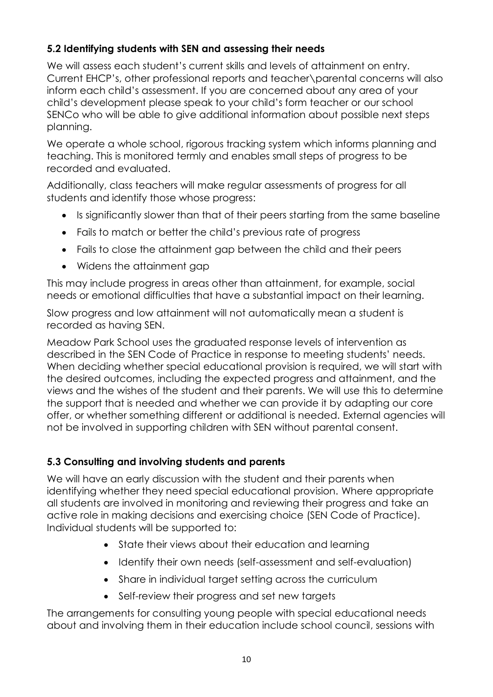## **5.2 Identifying students with SEN and assessing their needs**

We will assess each student's current skills and levels of attainment on entry. Current EHCP's, other professional reports and teacher\parental concerns will also inform each child's assessment. If you are concerned about any area of your child's development please speak to your child's form teacher or our school SENCo who will be able to give additional information about possible next steps planning.

We operate a whole school, rigorous tracking system which informs planning and teaching. This is monitored termly and enables small steps of progress to be recorded and evaluated.

Additionally, class teachers will make regular assessments of progress for all students and identify those whose progress:

- Is significantly slower than that of their peers starting from the same baseline
- Fails to match or better the child's previous rate of progress
- Fails to close the attainment gap between the child and their peers
- Widens the attainment gap

This may include progress in areas other than attainment, for example, social needs or emotional difficulties that have a substantial impact on their learning.

Slow progress and low attainment will not automatically mean a student is recorded as having SEN.

Meadow Park School uses the graduated response levels of intervention as described in the SEN Code of Practice in response to meeting students' needs. When deciding whether special educational provision is required, we will start with the desired outcomes, including the expected progress and attainment, and the views and the wishes of the student and their parents. We will use this to determine the support that is needed and whether we can provide it by adapting our core offer, or whether something different or additional is needed. External agencies will not be involved in supporting children with SEN without parental consent.

## **5.3 Consulting and involving students and parents**

We will have an early discussion with the student and their parents when identifying whether they need special educational provision. Where appropriate all students are involved in monitoring and reviewing their progress and take an active role in making decisions and exercising choice (SEN Code of Practice). Individual students will be supported to:

- State their views about their education and learning
- Identify their own needs (self-assessment and self-evaluation)
- Share in individual target setting across the curriculum
- Self-review their progress and set new targets

The arrangements for consulting young people with special educational needs about and involving them in their education include school council, sessions with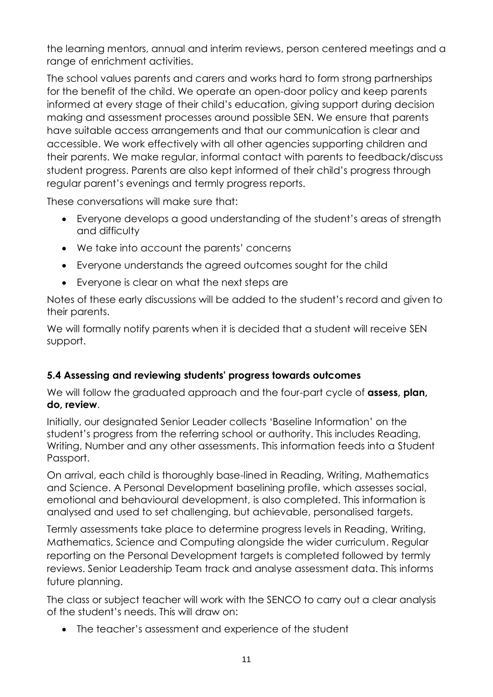the learning mentors, annual and interim reviews, person centered meetings and a range of enrichment activities.

The school values parents and carers and works hard to form strong partnerships for the benefit of the child. We operate an open-door policy and keep parents informed at every stage of their child's education, giving support during decision making and assessment processes around possible SEN. We ensure that parents have suitable access arrangements and that our communication is clear and accessible. We work effectively with all other agencies supporting children and their parents. We make regular, informal contact with parents to feedback/discuss student progress. Parents are also kept informed of their child's progress through regular parent's evenings and termly progress reports.

These conversations will make sure that:

- Everyone develops a good understanding of the student's areas of strength and difficulty
- We take into account the parents' concerns
- Everyone understands the agreed outcomes sought for the child
- Everyone is clear on what the next steps are

Notes of these early discussions will be added to the student's record and given to their parents.

We will formally notify parents when it is decided that a student will receive SEN support.

## **5.4 Assessing and reviewing students' progress towards outcomes**

We will follow the graduated approach and the four-part cycle of **assess, plan, do, review**.

Initially, our designated Senior Leader collects 'Baseline Information' on the student's progress from the referring school or authority. This includes Reading, Writing, Number and any other assessments. This information feeds into a Student Passport.

On arrival, each child is thoroughly base-lined in Reading, Writing, Mathematics and Science. A Personal Development baselining profile, which assesses social, emotional and behavioural development, is also completed. This information is analysed and used to set challenging, but achievable, personalised targets.

Termly assessments take place to determine progress levels in Reading, Writing, Mathematics, Science and Computing alongside the wider curriculum. Regular reporting on the Personal Development targets is completed followed by termly reviews. Senior Leadership Team track and analyse assessment data. This informs future planning.

The class or subject teacher will work with the SENCO to carry out a clear analysis of the student's needs. This will draw on:

The teacher's assessment and experience of the student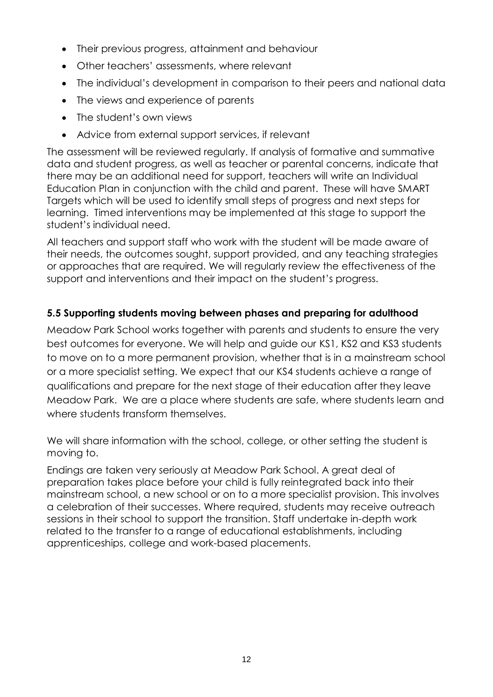- Their previous progress, attainment and behaviour
- Other teachers' assessments, where relevant
- The individual's development in comparison to their peers and national data
- The views and experience of parents
- The student's own views
- Advice from external support services, if relevant

The assessment will be reviewed regularly. If analysis of formative and summative data and student progress, as well as teacher or parental concerns, indicate that there may be an additional need for support, teachers will write an Individual Education Plan in conjunction with the child and parent. These will have SMART Targets which will be used to identify small steps of progress and next steps for learning. Timed interventions may be implemented at this stage to support the student's individual need.

All teachers and support staff who work with the student will be made aware of their needs, the outcomes sought, support provided, and any teaching strategies or approaches that are required. We will regularly review the effectiveness of the support and interventions and their impact on the student's progress.

## **5.5 Supporting students moving between phases and preparing for adulthood**

Meadow Park School works together with parents and students to ensure the very best outcomes for everyone. We will help and guide our KS1, KS2 and KS3 students to move on to a more permanent provision, whether that is in a mainstream school or a more specialist setting. We expect that our KS4 students achieve a range of qualifications and prepare for the next stage of their education after they leave Meadow Park. We are a place where students are safe, where students learn and where students transform themselves.

We will share information with the school, college, or other setting the student is moving to.

Endings are taken very seriously at Meadow Park School. A great deal of preparation takes place before your child is fully reintegrated back into their mainstream school, a new school or on to a more specialist provision. This involves a celebration of their successes. Where required, students may receive outreach sessions in their school to support the transition. Staff undertake in-depth work related to the transfer to a range of educational establishments, including apprenticeships, college and work-based placements.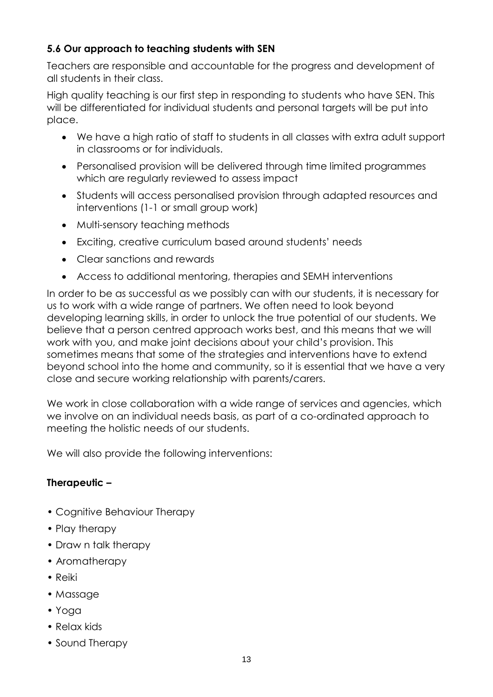## **5.6 Our approach to teaching students with SEN**

Teachers are responsible and accountable for the progress and development of all students in their class.

High quality teaching is our first step in responding to students who have SEN. This will be differentiated for individual students and personal targets will be put into place.

- We have a high ratio of staff to students in all classes with extra adult support in classrooms or for individuals.
- Personalised provision will be delivered through time limited programmes which are regularly reviewed to assess impact
- Students will access personalised provision through adapted resources and interventions (1-1 or small group work)
- Multi-sensory teaching methods
- Exciting, creative curriculum based around students' needs
- Clear sanctions and rewards
- Access to additional mentoring, therapies and SEMH interventions

In order to be as successful as we possibly can with our students, it is necessary for us to work with a wide range of partners. We often need to look beyond developing learning skills, in order to unlock the true potential of our students. We believe that a person centred approach works best, and this means that we will work with you, and make joint decisions about your child's provision. This sometimes means that some of the strategies and interventions have to extend beyond school into the home and community, so it is essential that we have a very close and secure working relationship with parents/carers.

We work in close collaboration with a wide range of services and agencies, which we involve on an individual needs basis, as part of a co-ordinated approach to meeting the holistic needs of our students.

We will also provide the following interventions:

#### **Therapeutic –**

- Cognitive Behaviour Therapy
- Play therapy
- Draw n talk therapy
- Aromatherapy
- Reiki
- Massage
- Yoga
- Relax kids
- Sound Therapy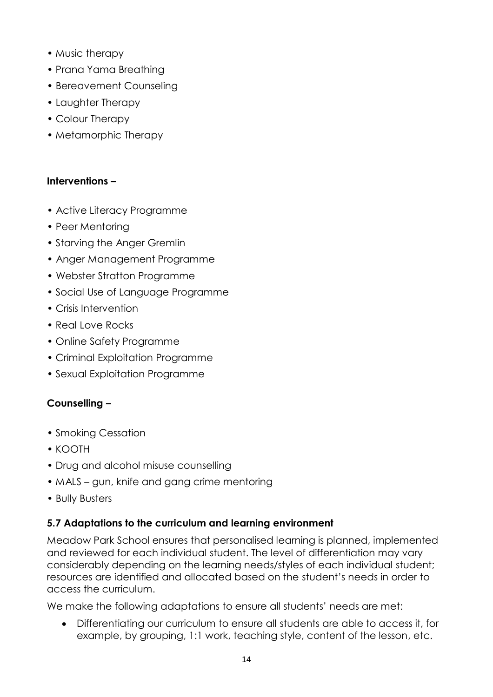- Music therapy
- Prana Yama Breathing
- Bereavement Counseling
- Laughter Therapy
- Colour Therapy
- Metamorphic Therapy

#### **Interventions –**

- Active Literacy Programme
- Peer Mentoring
- Starving the Anger Gremlin
- Anger Management Programme
- Webster Stratton Programme
- Social Use of Language Programme
- Crisis Intervention
- Real Love Rocks
- Online Safety Programme
- Criminal Exploitation Programme
- Sexual Exploitation Programme

#### **Counselling –**

- Smoking Cessation
- KOOTH
- Drug and alcohol misuse counselling
- MALS gun, knife and gang crime mentoring
- Bully Busters

#### **5.7 Adaptations to the curriculum and learning environment**

Meadow Park School ensures that personalised learning is planned, implemented and reviewed for each individual student. The level of differentiation may vary considerably depending on the learning needs/styles of each individual student; resources are identified and allocated based on the student's needs in order to access the curriculum.

We make the following adaptations to ensure all students' needs are met:

 Differentiating our curriculum to ensure all students are able to access it, for example, by grouping, 1:1 work, teaching style, content of the lesson, etc.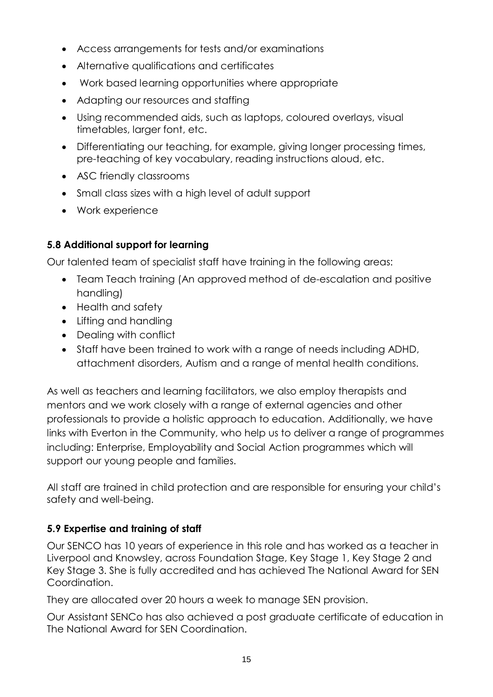- Access arrangements for tests and/or examinations
- Alternative qualifications and certificates
- Work based learning opportunities where appropriate
- Adapting our resources and staffing
- Using recommended aids, such as laptops, coloured overlays, visual timetables, larger font, etc.
- Differentiating our teaching, for example, giving longer processing times, pre-teaching of key vocabulary, reading instructions aloud, etc.
- ASC friendly classrooms
- Small class sizes with a high level of adult support
- Work experience

## **5.8 Additional support for learning**

Our talented team of specialist staff have training in the following areas:

- Team Teach training (An approved method of de-escalation and positive handling)
- Health and safety
- Lifting and handling
- Dealing with conflict
- Staff have been trained to work with a range of needs including ADHD, attachment disorders, Autism and a range of mental health conditions.

As well as teachers and learning facilitators, we also employ therapists and mentors and we work closely with a range of external agencies and other professionals to provide a holistic approach to education. Additionally, we have links with Everton in the Community, who help us to deliver a range of programmes including: Enterprise, Employability and Social Action programmes which will support our young people and families.

All staff are trained in child protection and are responsible for ensuring your child's safety and well-being.

## **5.9 Expertise and training of staff**

Our SENCO has 10 years of experience in this role and has worked as a teacher in Liverpool and Knowsley, across Foundation Stage, Key Stage 1, Key Stage 2 and Key Stage 3. She is fully accredited and has achieved The National Award for SEN Coordination.

They are allocated over 20 hours a week to manage SEN provision.

Our Assistant SENCo has also achieved a post graduate certificate of education in The National Award for SEN Coordination.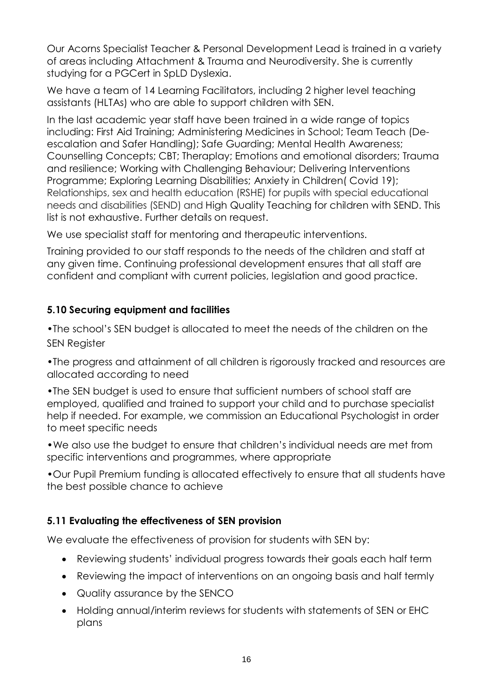Our Acorns Specialist Teacher & Personal Development Lead is trained in a variety of areas including Attachment & Trauma and Neurodiversity. She is currently studying for a PGCert in SpLD Dyslexia.

We have a team of 14 Learning Facilitators, including 2 higher level teaching assistants (HLTAs) who are able to support children with SEN.

In the last academic year staff have been trained in a wide range of topics including: First Aid Training; Administering Medicines in School; Team Teach (Deescalation and Safer Handling); Safe Guarding; Mental Health Awareness; Counselling Concepts; CBT; Theraplay; Emotions and emotional disorders; Trauma and resilience; Working with Challenging Behaviour; Delivering Interventions Programme; Exploring Learning Disabilities; Anxiety in Children( Covid 19); Relationships, sex and health education (RSHE) for pupils with special educational needs and disabilities (SEND) and High Quality Teaching for children with SEND. This list is not exhaustive. Further details on request.

We use specialist staff for mentoring and therapeutic interventions.

Training provided to our staff responds to the needs of the children and staff at any given time. Continuing professional development ensures that all staff are confident and compliant with current policies, legislation and good practice.

## **5.10 Securing equipment and facilities**

•The school's SEN budget is allocated to meet the needs of the children on the SEN Register

•The progress and attainment of all children is rigorously tracked and resources are allocated according to need

•The SEN budget is used to ensure that sufficient numbers of school staff are employed, qualified and trained to support your child and to purchase specialist help if needed. For example, we commission an Educational Psychologist in order to meet specific needs

•We also use the budget to ensure that children's individual needs are met from specific interventions and programmes, where appropriate

•Our Pupil Premium funding is allocated effectively to ensure that all students have the best possible chance to achieve

#### **5.11 Evaluating the effectiveness of SEN provision**

We evaluate the effectiveness of provision for students with SEN by:

- Reviewing students' individual progress towards their goals each half term
- Reviewing the impact of interventions on an ongoing basis and half termly
- Quality assurance by the SENCO
- Holding annual/interim reviews for students with statements of SEN or EHC plans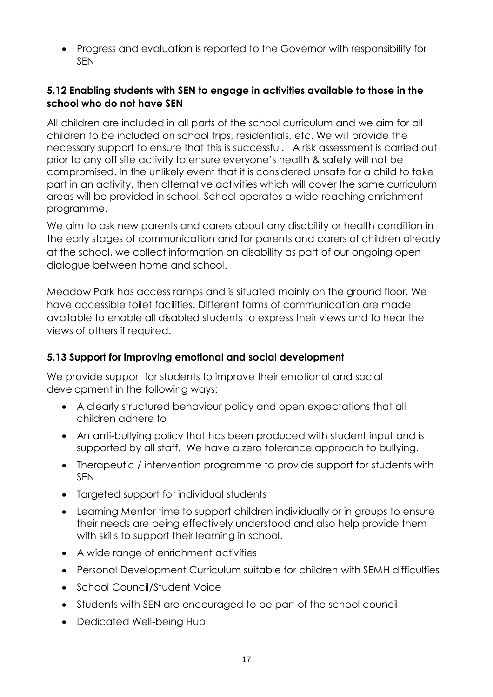Progress and evaluation is reported to the Governor with responsibility for SEN

## **5.12 Enabling students with SEN to engage in activities available to those in the school who do not have SEN**

All children are included in all parts of the school curriculum and we aim for all children to be included on school trips, residentials, etc. We will provide the necessary support to ensure that this is successful. A risk assessment is carried out prior to any off site activity to ensure everyone's health & safety will not be compromised. In the unlikely event that it is considered unsafe for a child to take part in an activity, then alternative activities which will cover the same curriculum areas will be provided in school. School operates a wide-reaching enrichment programme.

We aim to ask new parents and carers about any disability or health condition in the early stages of communication and for parents and carers of children already at the school, we collect information on disability as part of our ongoing open dialogue between home and school.

Meadow Park has access ramps and is situated mainly on the ground floor. We have accessible toilet facilities. Different forms of communication are made available to enable all disabled students to express their views and to hear the views of others if required.

#### **5.13 Support for improving emotional and social development**

We provide support for students to improve their emotional and social development in the following ways:

- A clearly structured behaviour policy and open expectations that all children adhere to
- An anti-bullying policy that has been produced with student input and is supported by all staff. We have a zero tolerance approach to bullying.
- Therapeutic / intervention programme to provide support for students with SEN
- Targeted support for individual students
- Learning Mentor time to support children individually or in groups to ensure their needs are being effectively understood and also help provide them with skills to support their learning in school.
- A wide range of enrichment activities
- Personal Development Curriculum suitable for children with SEMH difficulties
- School Council/Student Voice
- Students with SEN are encouraged to be part of the school council
- Dedicated Well-being Hub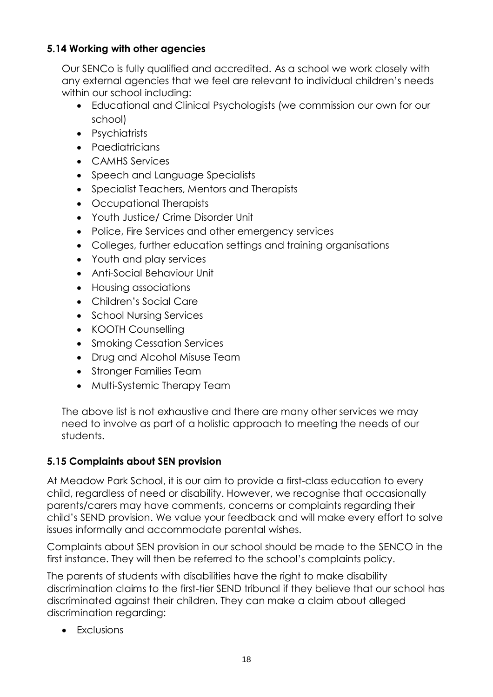## **5.14 Working with other agencies**

Our SENCo is fully qualified and accredited. As a school we work closely with any external agencies that we feel are relevant to individual children's needs within our school including:

- Educational and Clinical Psychologists (we commission our own for our school)
- Psychiatrists
- Paediatricians
- CAMHS Services
- Speech and Language Specialists
- Specialist Teachers, Mentors and Therapists
- Occupational Therapists
- Youth Justice/ Crime Disorder Unit
- Police, Fire Services and other emergency services
- Colleges, further education settings and training organisations
- Youth and play services
- Anti-Social Behaviour Unit
- Housing associations
- Children's Social Care
- School Nursing Services
- KOOTH Counselling
- Smoking Cessation Services
- Drug and Alcohol Misuse Team
- Stronger Families Team
- Multi-Systemic Therapy Team

The above list is not exhaustive and there are many other services we may need to involve as part of a holistic approach to meeting the needs of our students.

## **5.15 Complaints about SEN provision**

At Meadow Park School, it is our aim to provide a first-class education to every child, regardless of need or disability. However, we recognise that occasionally parents/carers may have comments, concerns or complaints regarding their child's SEND provision. We value your feedback and will make every effort to solve issues informally and accommodate parental wishes.

Complaints about SEN provision in our school should be made to the SENCO in the first instance. They will then be referred to the school's complaints policy.

The parents of students with disabilities have the right to make disability discrimination claims to the first-tier SEND tribunal if they believe that our school has discriminated against their children. They can make a claim about alleged discrimination regarding:

• Exclusions